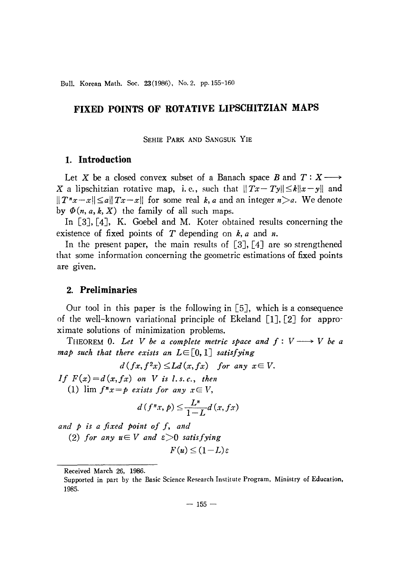Bull. Korean Math. Soc. 23(1986), No. 2, pp. 155-160

# FIXED POINTS OF ROTATIVE LIPSCHITZIAN MAPS

SEHIE PARK AND SANGSUK YIE

## 1. Introduction

Let X be a closed convex subset of a Banach space B and  $T: X \longrightarrow$ X a lipschitzian rotative map, i.e., such that  $||Tx - Ty|| \le k||x - y||$  and  $||T^nx-x|| \leq a||Tx-x||$  for some real k, a and an integer  $n > a$ . We denote by  $\Phi(n, a, k, X)$  the family of all such maps.

In  $[3]$ ,  $[4]$ , K. Goebel and M. Koter obtained results concerning the existence of fixed points of  $T$  depending on  $k$ ,  $a$  and  $n$ .

In the present paper, the main results of  $[3]$ ,  $[4]$  are so strengthened that some information concerning the geometric estimations of fixed points are given.

## 2. Preliminaries

Our tool in this paper is the following in  $[5]$ , which is a consequence of the well-known variational principle of Ekeland [1], [2] for approximate solutions of minimization problems.

THEOREM 0. Let V be a complete metric space and  $f: V \longrightarrow V$  be a map such that there exists an  $L \in [0,1]$  satisfying

$$
d(fx, f2x) \le Ld(x, fx) \quad for any x \in V.
$$

If  $F(x) = d(x, fx)$  on V is l.s.c., then

(1)  $\lim f^n x = p$  exists for any  $x \in V$ ,

$$
d(f^nx, p) \le \frac{L^n}{1-L} d(x, fx)
$$

and p is a fixed point of f, and

(2) for any  $u \in V$  and  $\varepsilon > 0$  satisfying

$$
F(u) \le (1-L)\varepsilon
$$

Received March 26, 1986.

Supported in part by the Basic Science Research Institute Program, Ministry of Education, 1985.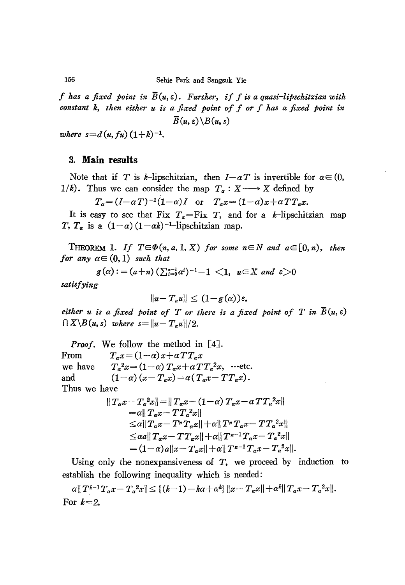f has a fixed point in  $\overline{B}(u,\varepsilon)$ . Further, if f is a quasi-lipschitzian with constant k, then either u is a fixed point of f or f has a fixed point in  $\overline{B}(u,\varepsilon)\backslash B(u,s)$ 

where  $s=d(u, fu)(1+k)^{-1}$ .

## 3. Main results

Note that if T is k-lipschitzian, then  $I-\alpha T$  is invertible for  $\alpha \in (0,$ 1/k). Thus we can consider the map  $T_a: X \longrightarrow X$  defined by

$$
T_a = (I - \alpha T)^{-1} (1 - \alpha) I
$$
 or 
$$
T_a x = (1 - \alpha) x + \alpha T T_a x.
$$

It is easy to see that Fix  $T_a = Fix T$ , and for a k-lipschitzian map T,  $T_a$  is a  $(1-\alpha)(1-\alpha k)^{-1}$ -lipschitzian map.

THEOREM 1. If  $T \in \Phi(n, a, 1, X)$  for some  $n \in N$  and  $a \in [0, n)$ , then for any  $\alpha \in (0,1)$  such that

$$
g(\alpha) := (a+n) \left( \sum_{i=0}^{n-1} \alpha^{i} \right)^{-1} - 1 \langle 1, u \in X \text{ and } \epsilon \rangle 0
$$

satisfying

$$
||u-T_a u|| \leq (1-g(\alpha))\varepsilon,
$$

either u is a fixed point of T or there is a fixed point of T in  $\overline{B}(u,\varepsilon)$  $\bigcap X \backslash B(u, s)$  where  $s = ||u - T_a u||/2$ .

**Proof.** We follow the method in  $[4]$ . From  $T_a x = (1-\alpha)x + \alpha T T_a x$  $T_a^2x = (1-\alpha) T_a x + \alpha T T_a^2 x$ , ...etc. we have  $(1-\alpha)(x-T_a x) = \alpha (T_a x - T T_a x).$ and Thus we have

$$
||T_a x - T_a^2 x|| = ||T_a x - (1 - \alpha) T_a x - \alpha T T_a^2 x||
$$
  
\n=  $\alpha ||T_a x - T T_a^2 x||$   
\n $\leq \alpha ||T_a x - T^n T_a x|| + \alpha ||T^n T_a x - T T_a^2 x||$   
\n $\leq \alpha a ||T_a x - T T_a x|| + \alpha ||T^{n-1} T_a x - T_a^2 x||$   
\n=  $(1 - \alpha) a ||x - T_a x|| + \alpha ||T^{n-1} T_a x - T_a^2 x||$ 

Using only the nonexpansiveness of  $T$ , we proceed by induction to establish the following inequality which is needed:

 $\alpha ||T^{k-1}T_{\alpha}x-T_{\alpha}^2x|| \leq \{(k-1)-k\alpha+\alpha^k\} ||x-T_{\alpha}x||+\alpha^k||T_{\alpha}x-T_{\alpha}^2x||.$ For  $k=2$ ,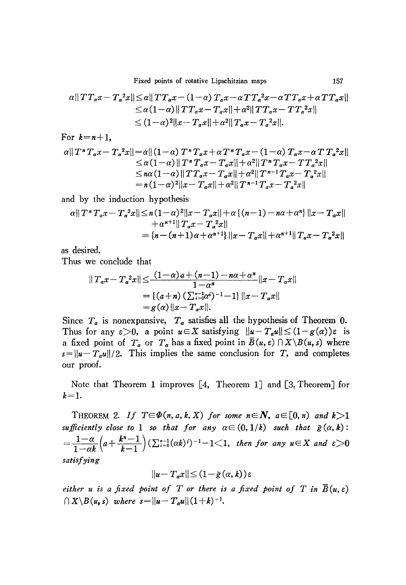Fixed points of rotative Lipschitzian maps

$$
\alpha ||TT_{\alpha}x - T_{\alpha}^{2}x|| \leq \alpha ||TT_{\alpha}x - (1-\alpha)T_{\alpha}x - \alpha TT_{\alpha}^{2}x - \alpha TT_{\alpha}x + \alpha TT_{\alpha}x||
$$
  
\n
$$
\leq \alpha (1-\alpha) ||TT_{\alpha}x - T_{\alpha}x|| + \alpha^{2} ||TT_{\alpha}x - TT_{\alpha}^{2}x||
$$
  
\n
$$
\leq (1-\alpha)^{2} ||x - T_{\alpha}x|| + \alpha^{2} ||T_{\alpha}x - T_{\alpha}^{2}x||.
$$

For  $k=n+1$ ,

$$
\alpha || T^{\pi} T_{\alpha} x - T_{\alpha}^{2} x || = \alpha || (1 - \alpha) T^{\pi} T_{\alpha} x + \alpha T^{\pi} T_{\alpha} x - (1 - \alpha) T_{\alpha} x - \alpha T T_{\alpha}^{2} x ||
$$
  
\n
$$
\leq \alpha (1 - \alpha) || T^{\pi} T_{\alpha} x - T_{\alpha} x || + \alpha^{2} || T^{\pi} T_{\alpha} x - T T_{\alpha}^{2} x ||
$$
  
\n
$$
\leq n \alpha (1 - \alpha) || T T_{\alpha} x - T_{\alpha} x || + \alpha^{2} || T^{\pi - 1} T_{\alpha} x - T_{\alpha}^{2} x ||
$$
  
\n
$$
= n (1 - \alpha)^{2} || x - T_{\alpha} x || + \alpha^{2} || T^{\pi - 1} T_{\alpha} x - T_{\alpha}^{2} x ||
$$

and by the induction hypothesis

$$
\alpha || T^n T_a x - T_a^2 x || \le n(1-\alpha)^2 ||x - T_a x|| + \alpha \{ (n-1) - n\alpha + \alpha^n \} ||x - T_a x||
$$
  
+  $\alpha^{n+1} || T_a x - T_a^2 x ||$   
=  $\{ n - (n+1)\alpha + \alpha^{n+1} \} ||x - T_a x|| + \alpha^{n+1} || T_a x - T_a^2 x ||$ 

as desired.

Thus we conclude that

$$
||T_a x - T_a^2 x|| \leq \frac{(1-\alpha)a + (n-1) - n\alpha + \alpha^n}{1 - \alpha^n} ||x - T_a x||
$$
  
= { $(a+n) (\sum_{i=0}^{n-1} \alpha^i)^{-1} - 1$ } ||x - T\_a x||  
=  $g(\alpha) ||x - T_a x||$ .

Since  $T_a$  is nonexpansive,  $T_a$  satisfies all the hypothesis of Theorem 0. Thus for any  $\varepsilon > 0$ , a point  $u \in X$  satisfying  $||u - T_a u|| \leq (1 - g(\alpha))\varepsilon$  is a fixed point of  $T_a$  or  $T_a$  has a fixed point in  $\overline{B}(u, \varepsilon) \cap X \setminus B(u, s)$  where  $s = ||u - T_a u||/2$ . This implies the same conclusion for T, and completes our proof.

Note that Theorem 1 improves  $[4,$  Theorem 1] and  $[3,$  Theorem  $]$  for  $k=1$ .

THEOREM 2. If  $T \in \Phi(n, a, k, X)$  for some  $n \in \mathbb{N}$ ,  $a \in [0, n)$  and  $k > 1$ sufficiently close to 1 so that for any  $\alpha \in (0,1/k)$  such that  $\tilde{g}(\alpha, k)$ :  $=\frac{1-\alpha}{1-\alpha k}\Big(a+\frac{k^n-1}{k-1}\Big)(\sum_{i=0}^{n-1}(\alpha k)^i)^{-1}-1\leq 1, \text{ then for any }u\in X \text{ and } \varepsilon>0$ satisfying

$$
||u - T_a x|| \leq (1 - \tilde{g}(\alpha, k))\varepsilon
$$

either u is a fixed point of T or there is a fixed point of T in  $\overline{B}(u,\varepsilon)$  $\bigcap X \backslash B(u, s)$  where  $s = ||u - T_a u|| (1+k)^{-1}$ .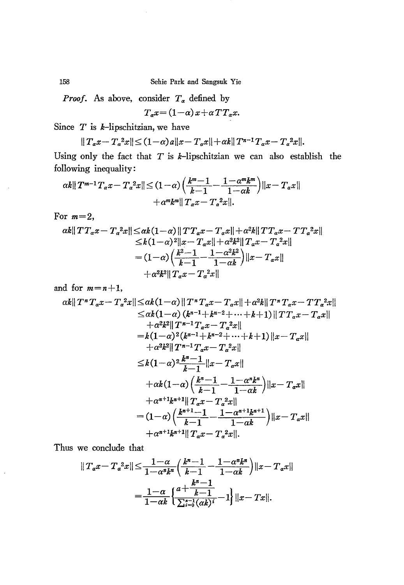Sehie Park and Sangsuk Yie

*Proof.* As above, consider  $T_a$  defined by

 $T_a x = (1 - \alpha) x + \alpha T T_a x.$ 

Since  $T$  is  $k$ -lipschitzian, we have

 $||T_a x - T_a^2 x|| \leq (1-\alpha) a ||x - T_a x|| + \alpha k ||T^{n-1} T_a x - T_a^2 x||.$ 

Using only the fact that  $T$  is  $k$ -lipschitzian we can also establish the following inequality:

$$
\alpha k ||T^{m-1} T_a x - T_a^2 x|| \leq (1-\alpha) \left( \frac{k^m - 1}{k-1} - \frac{1 - \alpha^m k^m}{1 - \alpha k} \right) ||x - T_a x||
$$
  
 
$$
+ \alpha^m k^m ||T_a x - T_a^2 x||.
$$

For  $m=2$ ,

$$
\alpha k ||TT_{\alpha}x - T_{a}^{2}x|| \leq \alpha k(1-\alpha) ||TT_{\alpha}x - T_{\alpha}x|| + \alpha^{2}k ||TT_{\alpha}x - TT_{a}^{2}x||
$$
  
\n
$$
\leq k(1-\alpha)^{2} ||x - T_{\alpha}x|| + \alpha^{2}k^{2} ||T_{\alpha}x - T_{a}^{2}x||
$$
  
\n
$$
= (1-\alpha) \left( \frac{k^{2}-1}{k-1} - \frac{1-\alpha^{2}k^{2}}{1-\alpha k} \right) ||x - T_{\alpha}x||
$$
  
\n
$$
+ \alpha^{2}k^{2} ||T_{\alpha}x - T_{a}^{2}x||
$$

and for  $m=n+1$ ,

$$
\alpha k || T^{n} T_{a} x - T_{a}^{2} x || \leq \alpha k (1-\alpha) || T^{n} T_{a} x - T_{a} x || + \alpha^{2} k || T^{n} T_{a} x - T T_{a}^{2} x ||
$$
\n
$$
\leq \alpha k (1-\alpha) (k^{n-1} + k^{n-2} + \dots + k+1) || T T_{a} x - T_{a} x ||
$$
\n
$$
+ \alpha^{2} k^{2} || T^{n-1} T_{a} x - T_{a}^{2} x ||
$$
\n
$$
= k (1-\alpha)^{2} (k^{n-1} + k^{n-2} + \dots + k+1) || x - T_{a} x ||
$$
\n
$$
+ \alpha^{2} k^{2} || T^{n-1} T_{a} x - T_{a}^{2} x ||
$$
\n
$$
\leq k (1-\alpha)^{2} \frac{k^{n}-1}{k-1} || x - T_{a} x ||
$$
\n
$$
+ \alpha k (1-\alpha) \left( \frac{k^{n}-1}{k-1} - \frac{1-\alpha^{n} k^{n}}{1-\alpha k} \right) || x - T_{a} x ||
$$
\n
$$
+ \alpha^{n+1} k^{n+1} || T_{a} x - T_{a}^{2} x ||
$$
\n
$$
= (1-\alpha) \left( \frac{k^{n+1}-1}{k-1} - \frac{1-\alpha^{n+1} k^{n+1}}{1-\alpha k} \right) || x - T_{a} x ||
$$
\n
$$
+ \alpha^{n+1} k^{n+1} || T_{a} x - T_{a}^{2} x ||.
$$

Thus we conclude that

$$
||T_{\alpha}x - T_{\alpha}^{2}x|| \leq \frac{1-\alpha}{1-\alpha^{n}k^{n}} \left(\frac{k^{n}-1}{k-1} - \frac{1-\alpha^{n}k^{n}}{1-\alpha k}\right)||x - T_{\alpha}x||
$$

$$
= \frac{1-\alpha}{1-\alpha k} \left\{ \frac{a + \frac{k^{n}-1}{k-1}}{\sum_{i=0}^{n-1} (\alpha k)^{i}} - 1 \right\} ||x - Tx||.
$$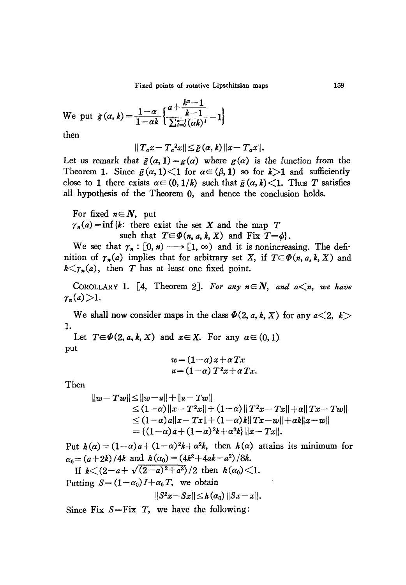Fixed points of rotative Lipschitzian maps

We put 
$$
\tilde{g}(\alpha, k) = \frac{1-\alpha}{1-\alpha k} \left\{ \frac{a + \frac{k^n - 1}{k - 1}}{\sum_{i=0}^{n-1} (\alpha k)^i} - 1 \right\}
$$

then

$$
||T_{\alpha}x-T_{\alpha}^{2}x||\leq \tilde{g}(\alpha,k)||x-T_{\alpha}x||.
$$

Let us remark that  $\tilde{g}(\alpha, 1) = g(\alpha)$  where  $g(\alpha)$  is the function from the Theorem 1. Since  $\tilde{g}(\alpha, 1) < 1$  for  $\alpha \in (\beta, 1)$  so for  $k > 1$  and sufficiently close to 1 there exists  $\alpha \in (0, 1/k)$  such that  $\tilde{g}(\alpha, k) < 1$ . Thus T satisfies all hypothesis of the Theorem 0, and hence the conclusion holds.

For fixed  $n \in \mathbb{N}$ , put  $\gamma_n(a) = \inf \{k : \text{ there exist the set } X \text{ and the map } T\}$ such that  $T \in \Phi(n, a, k, X)$  and Fix  $T = \phi$ .

We see that  $\gamma_n : [0, n) \longrightarrow [1, \infty)$  and it is nonincreasing. The definition of  $\gamma_n(a)$  implies that for arbitrary set X, if  $T \in \Phi(n, a, k, X)$  and  $k \leq \gamma_n(a)$ , then T has at least one fixed point.

COROLLARY 1. [4, Theorem 2]. For any  $n \in \mathbb{N}$ , and  $a \leq n$ , we have  $\gamma_n(a) > 1.$ 

We shall now consider maps in the class  $\Phi(2, a, k, X)$  for any  $a\leq 2, k$ 1.

Let  $T \in \Phi(2, a, k, X)$  and  $x \in X$ . For any  $\alpha \in (0, 1)$ put

$$
w = (1 - \alpha)x + \alpha Tx
$$
  

$$
u = (1 - \alpha) T^2 x + \alpha Tx.
$$

Then

$$
||w-Tw|| \le ||w-u|| + ||u-Tw||
$$
  
\n
$$
\le (1-\alpha) ||x-T^2x|| + (1-\alpha) ||T^2x-Tx|| + \alpha ||Tx-Tw||
$$
  
\n
$$
\le (1-\alpha)a||x-Tx|| + (1-\alpha)k||Tx-w|| + \alpha k||x-w||
$$
  
\n
$$
= \{(1-\alpha)a + (1-\alpha)^2k + \alpha^2k\} ||x-Tx||.
$$

Put  $h(\alpha) = (1-\alpha)a + (1-\alpha)^2k + \alpha^2k$ , then  $h(\alpha)$  attains its minimum for  $\alpha_0 = (a+2k)/4k$  and  $h(\alpha_0) = (4k^2+4ak-a^2)/8k$ .

If  $k < (2-a+\sqrt{(2-a)^2+a^2})/2$  then  $h(\alpha_0) < 1$ .

Putting  $S = (1 - \alpha_0)I + \alpha_0 T$ , we obtain

$$
||S^2x-Sx||\leq h(\alpha_0)||Sx-x||.
$$

Since Fix  $S = Fix T$ , we have the following: